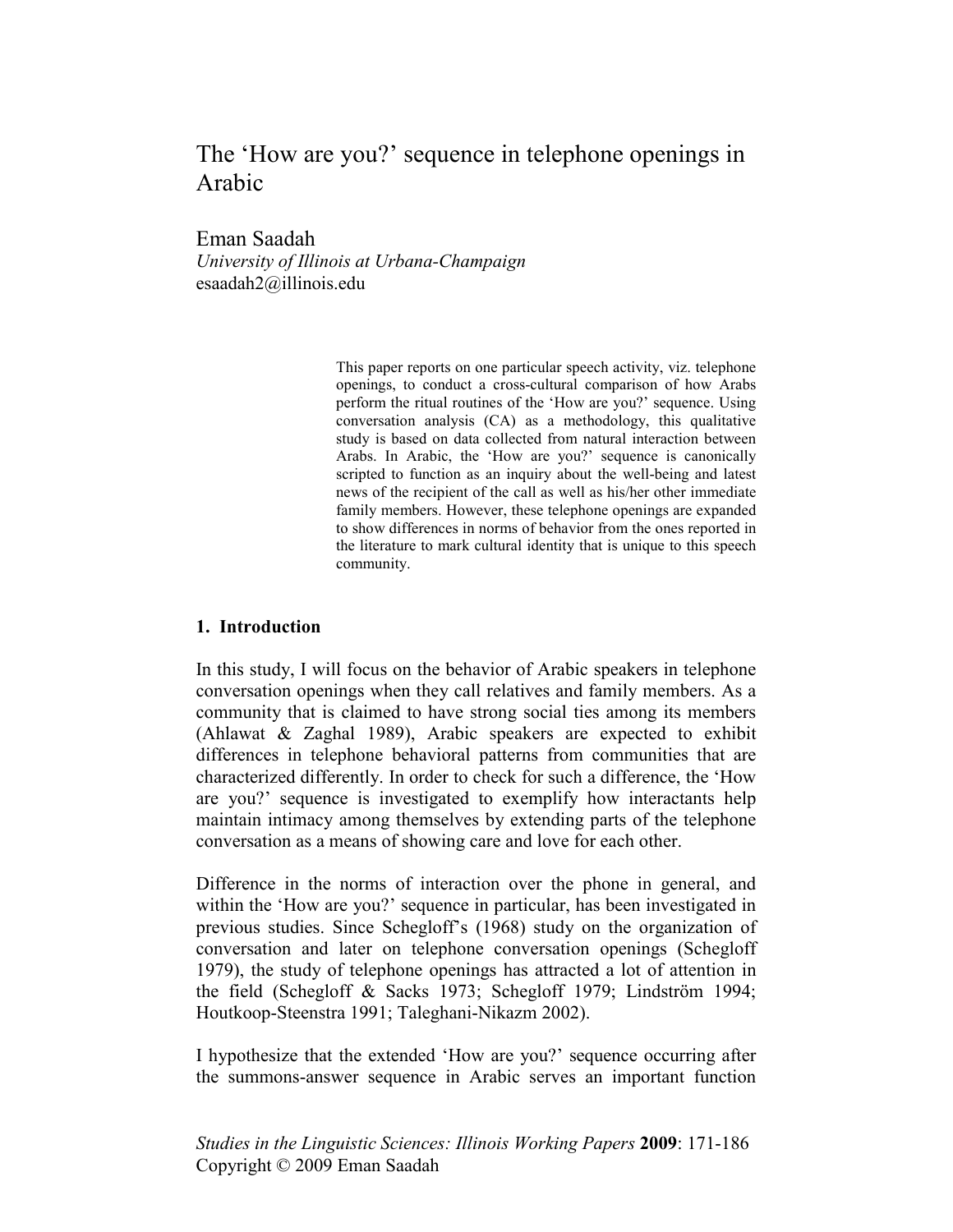# The 'How are you?' sequence in telephone openings in Arabic

Eman Saadah

*University of Illinois at Urbana-Champaign*  esaadah2@illinois.edu

> This paper reports on one particular speech activity, viz. telephone openings, to conduct a cross-cultural comparison of how Arabs perform the ritual routines of the 'How are you?' sequence. Using conversation analysis (CA) as a methodology, this qualitative study is based on data collected from natural interaction between Arabs. In Arabic, the 'How are you?' sequence is canonically scripted to function as an inquiry about the well-being and latest news of the recipient of the call as well as his/her other immediate family members. However, these telephone openings are expanded to show differences in norms of behavior from the ones reported in the literature to mark cultural identity that is unique to this speech community.

#### **1. Introduction**

In this study, I will focus on the behavior of Arabic speakers in telephone conversation openings when they call relatives and family members. As a community that is claimed to have strong social ties among its members (Ahlawat & Zaghal 1989), Arabic speakers are expected to exhibit differences in telephone behavioral patterns from communities that are characterized differently. In order to check for such a difference, the 'How are you?' sequence is investigated to exemplify how interactants help maintain intimacy among themselves by extending parts of the telephone conversation as a means of showing care and love for each other.

Difference in the norms of interaction over the phone in general, and within the 'How are you?' sequence in particular, has been investigated in previous studies. Since Schegloff's (1968) study on the organization of conversation and later on telephone conversation openings (Schegloff 1979), the study of telephone openings has attracted a lot of attention in the field (Schegloff & Sacks 1973; Schegloff 1979; Lindström 1994; Houtkoop-Steenstra 1991; Taleghani-Nikazm 2002).

I hypothesize that the extended 'How are you?' sequence occurring after the summons-answer sequence in Arabic serves an important function

*Studies in the Linguistic Sciences: Illinois Working Papers* **2009**: 171-186 Copyright © 2009 Eman Saadah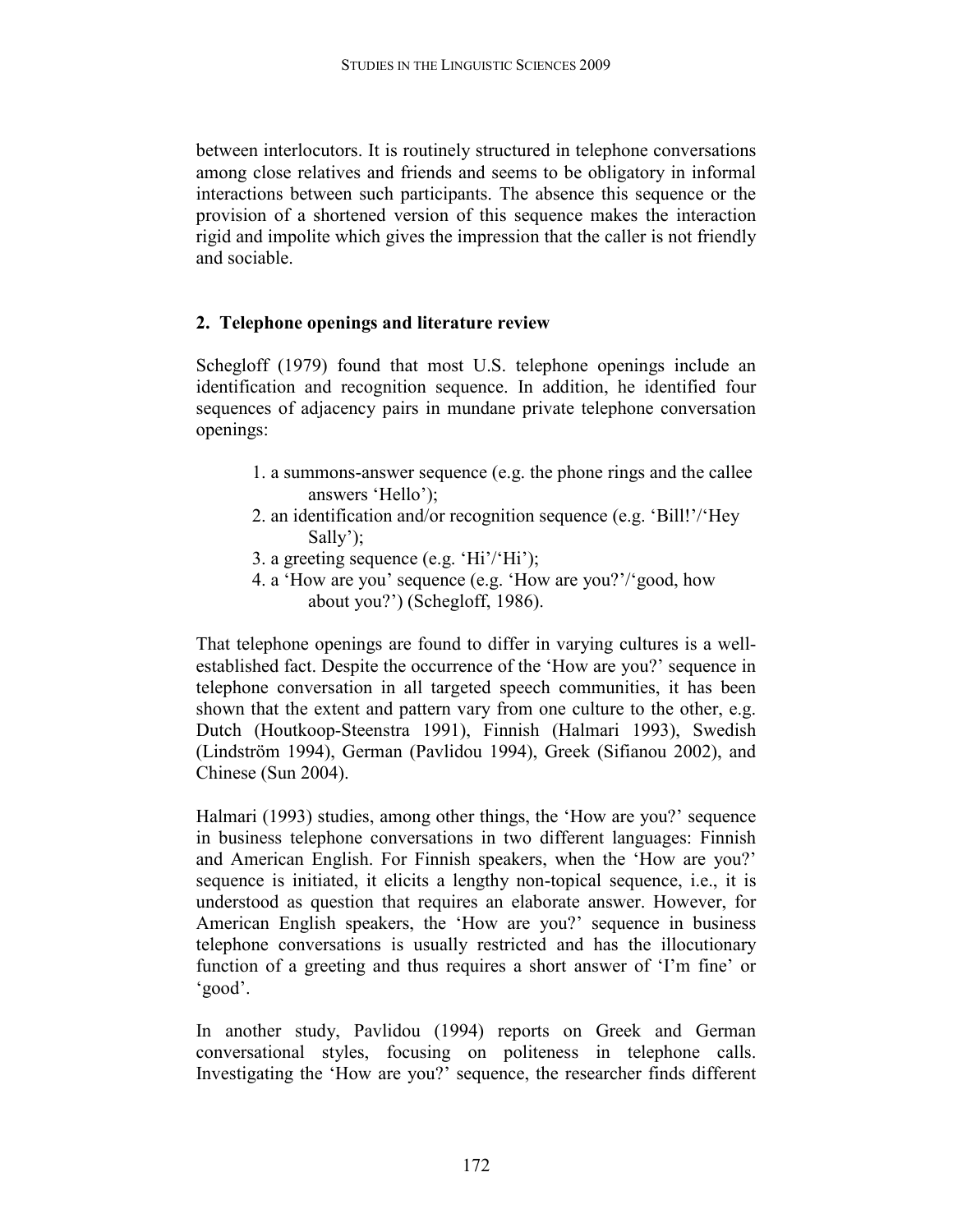between interlocutors. It is routinely structured in telephone conversations among close relatives and friends and seems to be obligatory in informal interactions between such participants. The absence this sequence or the provision of a shortened version of this sequence makes the interaction rigid and impolite which gives the impression that the caller is not friendly and sociable.

# **2. Telephone openings and literature review**

Schegloff (1979) found that most U.S. telephone openings include an identification and recognition sequence. In addition, he identified four sequences of adjacency pairs in mundane private telephone conversation openings:

- 1. a summons-answer sequence (e.g. the phone rings and the callee answers 'Hello');
- 2. an identification and/or recognition sequence (e.g. 'Bill!'/'Hey Sally');
- 3. a greeting sequence (e.g. 'Hi'/'Hi');
- 4. a 'How are you' sequence (e.g. 'How are you?'/'good, how about you?') (Schegloff, 1986).

That telephone openings are found to differ in varying cultures is a wellestablished fact. Despite the occurrence of the 'How are you?' sequence in telephone conversation in all targeted speech communities, it has been shown that the extent and pattern vary from one culture to the other, e.g. Dutch (Houtkoop-Steenstra 1991), Finnish (Halmari 1993), Swedish (Lindström 1994), German (Pavlidou 1994), Greek (Sifianou 2002), and Chinese (Sun 2004).

Halmari (1993) studies, among other things, the 'How are you?' sequence in business telephone conversations in two different languages: Finnish and American English. For Finnish speakers, when the 'How are you?' sequence is initiated, it elicits a lengthy non-topical sequence, i.e., it is understood as question that requires an elaborate answer. However, for American English speakers, the 'How are you?' sequence in business telephone conversations is usually restricted and has the illocutionary function of a greeting and thus requires a short answer of 'I'm fine' or 'good'.

In another study, Pavlidou (1994) reports on Greek and German conversational styles, focusing on politeness in telephone calls. Investigating the 'How are you?' sequence, the researcher finds different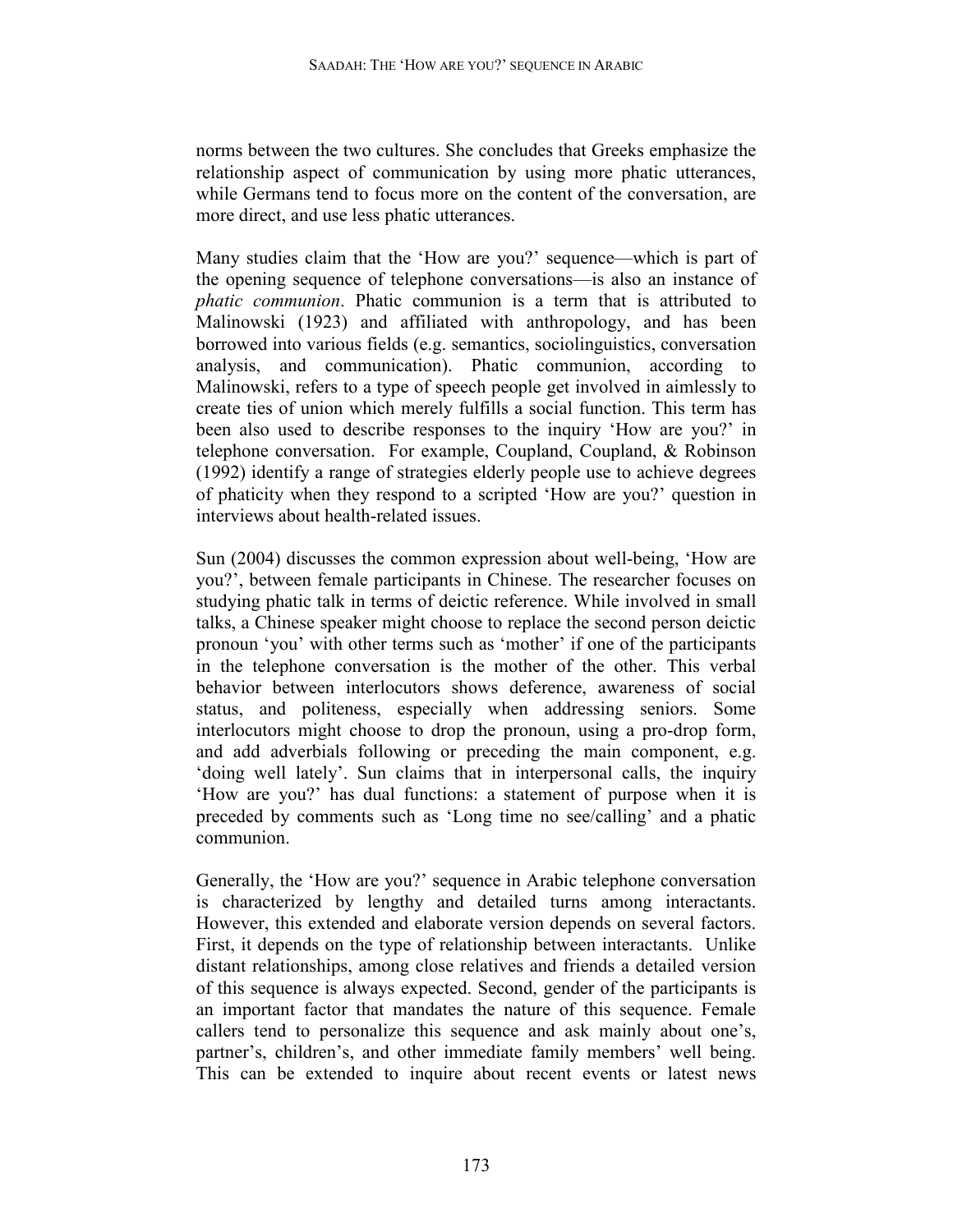norms between the two cultures. She concludes that Greeks emphasize the relationship aspect of communication by using more phatic utterances, while Germans tend to focus more on the content of the conversation, are more direct, and use less phatic utterances.

Many studies claim that the 'How are you?' sequence—which is part of the opening sequence of telephone conversations—is also an instance of *phatic communion*. Phatic communion is a term that is attributed to Malinowski (1923) and affiliated with anthropology, and has been borrowed into various fields (e.g. semantics, sociolinguistics, conversation analysis, and communication). Phatic communion, according to Malinowski, refers to a type of speech people get involved in aimlessly to create ties of union which merely fulfills a social function. This term has been also used to describe responses to the inquiry 'How are you?' in telephone conversation. For example, Coupland, Coupland, & Robinson (1992) identify a range of strategies elderly people use to achieve degrees of phaticity when they respond to a scripted 'How are you?' question in interviews about health-related issues.

Sun (2004) discusses the common expression about well-being, 'How are you?', between female participants in Chinese. The researcher focuses on studying phatic talk in terms of deictic reference. While involved in small talks, a Chinese speaker might choose to replace the second person deictic pronoun 'you' with other terms such as 'mother' if one of the participants in the telephone conversation is the mother of the other. This verbal behavior between interlocutors shows deference, awareness of social status, and politeness, especially when addressing seniors. Some interlocutors might choose to drop the pronoun, using a pro-drop form, and add adverbials following or preceding the main component, e.g. 'doing well lately'. Sun claims that in interpersonal calls, the inquiry 'How are you?' has dual functions: a statement of purpose when it is preceded by comments such as 'Long time no see/calling' and a phatic communion.

Generally, the 'How are you?' sequence in Arabic telephone conversation is characterized by lengthy and detailed turns among interactants. However, this extended and elaborate version depends on several factors. First, it depends on the type of relationship between interactants. Unlike distant relationships, among close relatives and friends a detailed version of this sequence is always expected. Second, gender of the participants is an important factor that mandates the nature of this sequence. Female callers tend to personalize this sequence and ask mainly about one's, partner's, children's, and other immediate family members' well being. This can be extended to inquire about recent events or latest news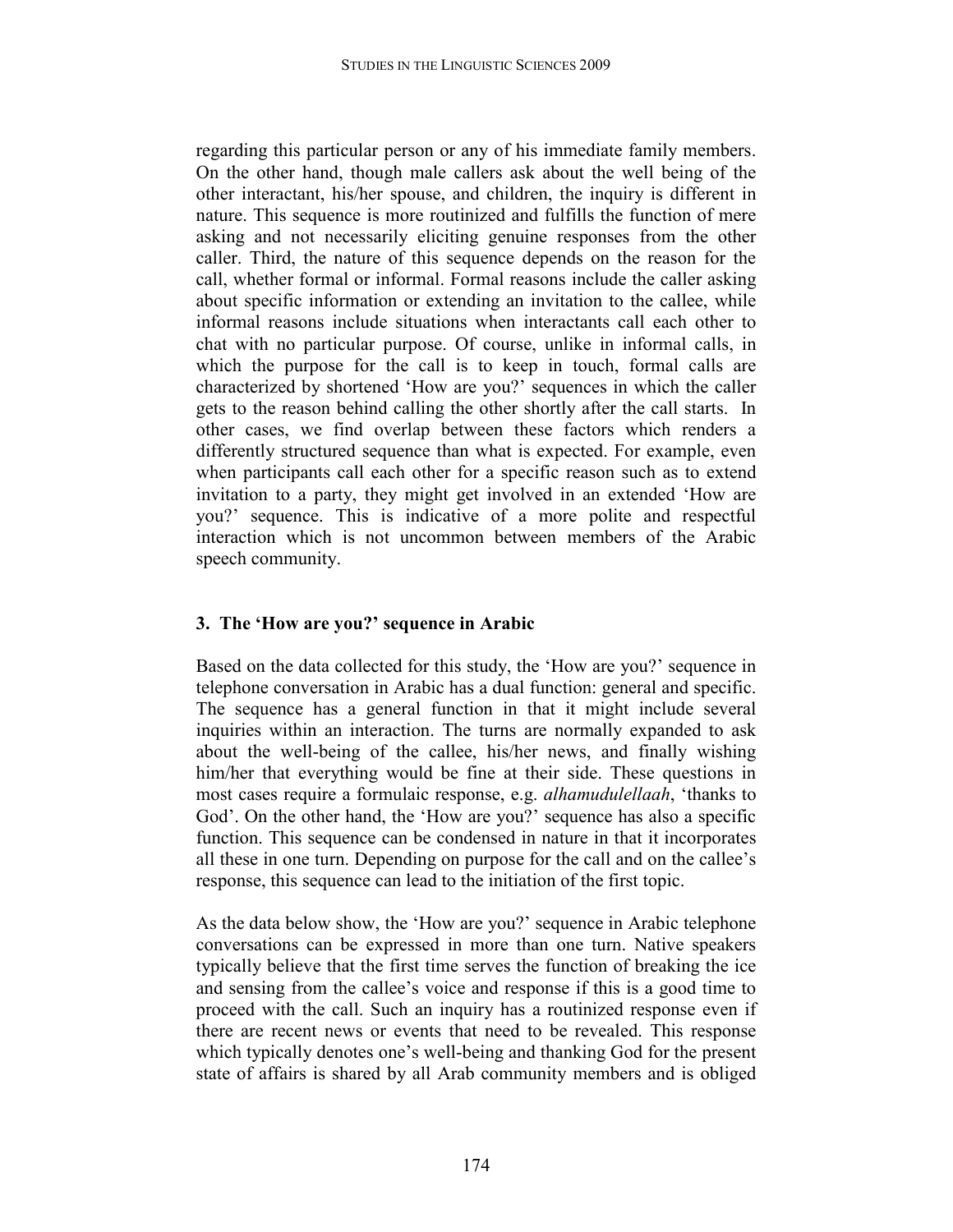regarding this particular person or any of his immediate family members. On the other hand, though male callers ask about the well being of the other interactant, his/her spouse, and children, the inquiry is different in nature. This sequence is more routinized and fulfills the function of mere asking and not necessarily eliciting genuine responses from the other caller. Third, the nature of this sequence depends on the reason for the call, whether formal or informal. Formal reasons include the caller asking about specific information or extending an invitation to the callee, while informal reasons include situations when interactants call each other to chat with no particular purpose. Of course, unlike in informal calls, in which the purpose for the call is to keep in touch, formal calls are characterized by shortened 'How are you?' sequences in which the caller gets to the reason behind calling the other shortly after the call starts. In other cases, we find overlap between these factors which renders a differently structured sequence than what is expected. For example, even when participants call each other for a specific reason such as to extend invitation to a party, they might get involved in an extended 'How are you?' sequence. This is indicative of a more polite and respectful interaction which is not uncommon between members of the Arabic speech community.

# **3. The 'How are you?' sequence in Arabic**

Based on the data collected for this study, the 'How are you?' sequence in telephone conversation in Arabic has a dual function: general and specific. The sequence has a general function in that it might include several inquiries within an interaction. The turns are normally expanded to ask about the well-being of the callee, his/her news, and finally wishing him/her that everything would be fine at their side. These questions in most cases require a formulaic response, e.g. *alhamudulellaah*, 'thanks to God'. On the other hand, the 'How are you?' sequence has also a specific function. This sequence can be condensed in nature in that it incorporates all these in one turn. Depending on purpose for the call and on the callee's response, this sequence can lead to the initiation of the first topic.

As the data below show, the 'How are you?' sequence in Arabic telephone conversations can be expressed in more than one turn. Native speakers typically believe that the first time serves the function of breaking the ice and sensing from the callee's voice and response if this is a good time to proceed with the call. Such an inquiry has a routinized response even if there are recent news or events that need to be revealed. This response which typically denotes one's well-being and thanking God for the present state of affairs is shared by all Arab community members and is obliged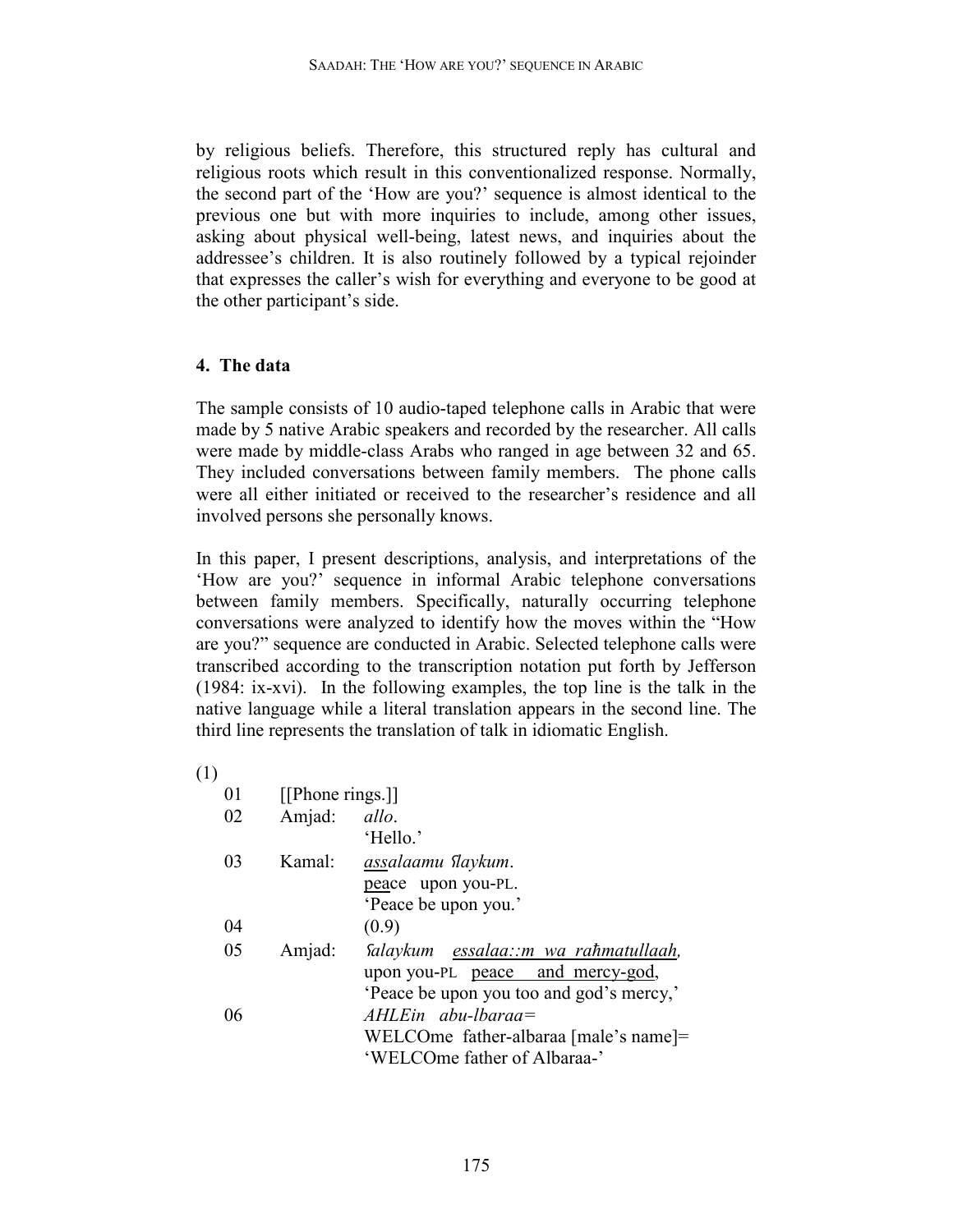by religious beliefs. Therefore, this structured reply has cultural and religious roots which result in this conventionalized response. Normally, the second part of the 'How are you?' sequence is almost identical to the previous one but with more inquiries to include, among other issues, asking about physical well-being, latest news, and inquiries about the addressee's children. It is also routinely followed by a typical rejoinder that expresses the caller's wish for everything and everyone to be good at the other participant's side.

## **4. The data**

The sample consists of 10 audio-taped telephone calls in Arabic that were made by 5 native Arabic speakers and recorded by the researcher. All calls were made by middle-class Arabs who ranged in age between 32 and 65. They included conversations between family members. The phone calls were all either initiated or received to the researcher's residence and all involved persons she personally knows.

In this paper, I present descriptions, analysis, and interpretations of the 'How are you?' sequence in informal Arabic telephone conversations between family members. Specifically, naturally occurring telephone conversations were analyzed to identify how the moves within the "How are you?" sequence are conducted in Arabic. Selected telephone calls were transcribed according to the transcription notation put forth by Jefferson (1984: ix-xvi). In the following examples, the top line is the talk in the native language while a literal translation appears in the second line. The third line represents the translation of talk in idiomatic English.

(1)

| 01 | [[Phone rings.]] |                                          |
|----|------------------|------------------------------------------|
| 02 | Amjad:           | allo.                                    |
|    |                  | 'Hello.'                                 |
| 03 | Kamal:           | assalaamu flaykum.                       |
|    |                  | peace upon you-PL.                       |
|    |                  | 'Peace be upon you.'                     |
| 04 |                  | (0.9)                                    |
| 05 | Amjad:           | Salaykum essalaa∷m wa raħmatullaah,      |
|    |                  | upon you-PL peace and mercy-god,         |
|    |                  | 'Peace be upon you too and god's mercy,' |
| 06 |                  | $AHLE$ in abu-lbaraa=                    |
|    |                  | WELCOme father-albaraa [male's name]=    |
|    |                  | 'WELCOme father of Albaraa-'             |
|    |                  |                                          |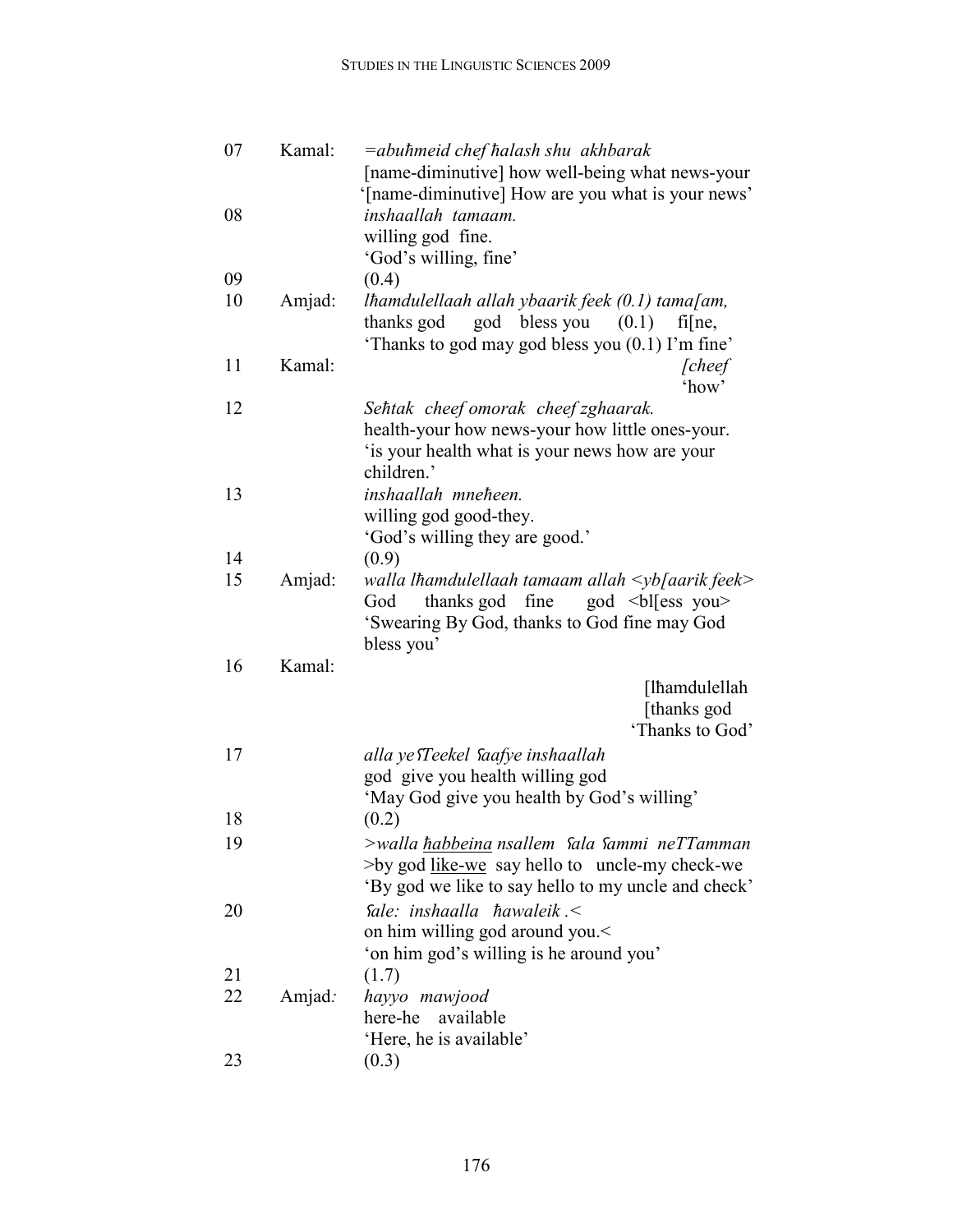| 07       | Kamal: | =abuhmeid chef halash shu akhbarak<br>[name-diminutive] how well-being what news-your                                                                           |
|----------|--------|-----------------------------------------------------------------------------------------------------------------------------------------------------------------|
|          |        | '[name-diminutive] How are you what is your news'                                                                                                               |
| 08       |        | inshaallah tamaam.<br>willing god fine.                                                                                                                         |
|          |        | 'God's willing, fine'                                                                                                                                           |
| 09       |        | (0.4)                                                                                                                                                           |
| 10       | Amjad: | lhamdulellaah allah ybaarik feek $(0.1)$ tama $\lceil$ am,                                                                                                      |
|          |        | thanks god god bless you $(0.1)$<br>$f\bar{f}$ [ne,<br>'Thanks to god may god bless you (0.1) I'm fine'                                                         |
| 11       | Kamal: | <i>cheef</i><br>'how'                                                                                                                                           |
| 12       |        | Sehtak cheef omorak cheef zghaarak.<br>health-your how news-your how little ones-your.<br>'is your health what is your news how are your<br>children.'          |
| 13       |        | inshaallah mneheen.                                                                                                                                             |
|          |        | willing god good-they.<br>'God's willing they are good.'                                                                                                        |
| 14       |        | (0.9)                                                                                                                                                           |
| 15       | Amjad: | walla lhamdulellaah tamaam allah $\langle \psi \rangle$ aarik feek>                                                                                             |
|          |        | thanks god fine<br>god $\langle$ bl $\langle$ ess you $\rangle$<br>God<br>'Swearing By God, thanks to God fine may God<br>bless you'                            |
| 16       | Kamal: |                                                                                                                                                                 |
|          |        | [lħamdulellah<br>[thanks god<br>'Thanks to God'                                                                                                                 |
| 17       |        | alla ye <i>Teekel Saafye inshaallah</i>                                                                                                                         |
|          |        | god give you health willing god                                                                                                                                 |
|          |        | 'May God give you health by God's willing'                                                                                                                      |
| 18       |        | (0.2)                                                                                                                                                           |
| 19       |        | >walla habbeina nsallem Sala Sammi neTTamman<br>$>$ by god <u>like-we</u> say hello to uncle-my check-we<br>'By god we like to say hello to my uncle and check' |
| 20       |        | Sale: inshaalla $\hbar$ awaleik.<br>on him willing god around you.                                                                                              |
|          |        | 'on him god's willing is he around you'                                                                                                                         |
| 21<br>22 | Amjad: | (1.7)<br>hayyo mawjood                                                                                                                                          |
|          |        | here-he available                                                                                                                                               |
|          |        | 'Here, he is available'                                                                                                                                         |
| 23       |        | (0.3)                                                                                                                                                           |
|          |        |                                                                                                                                                                 |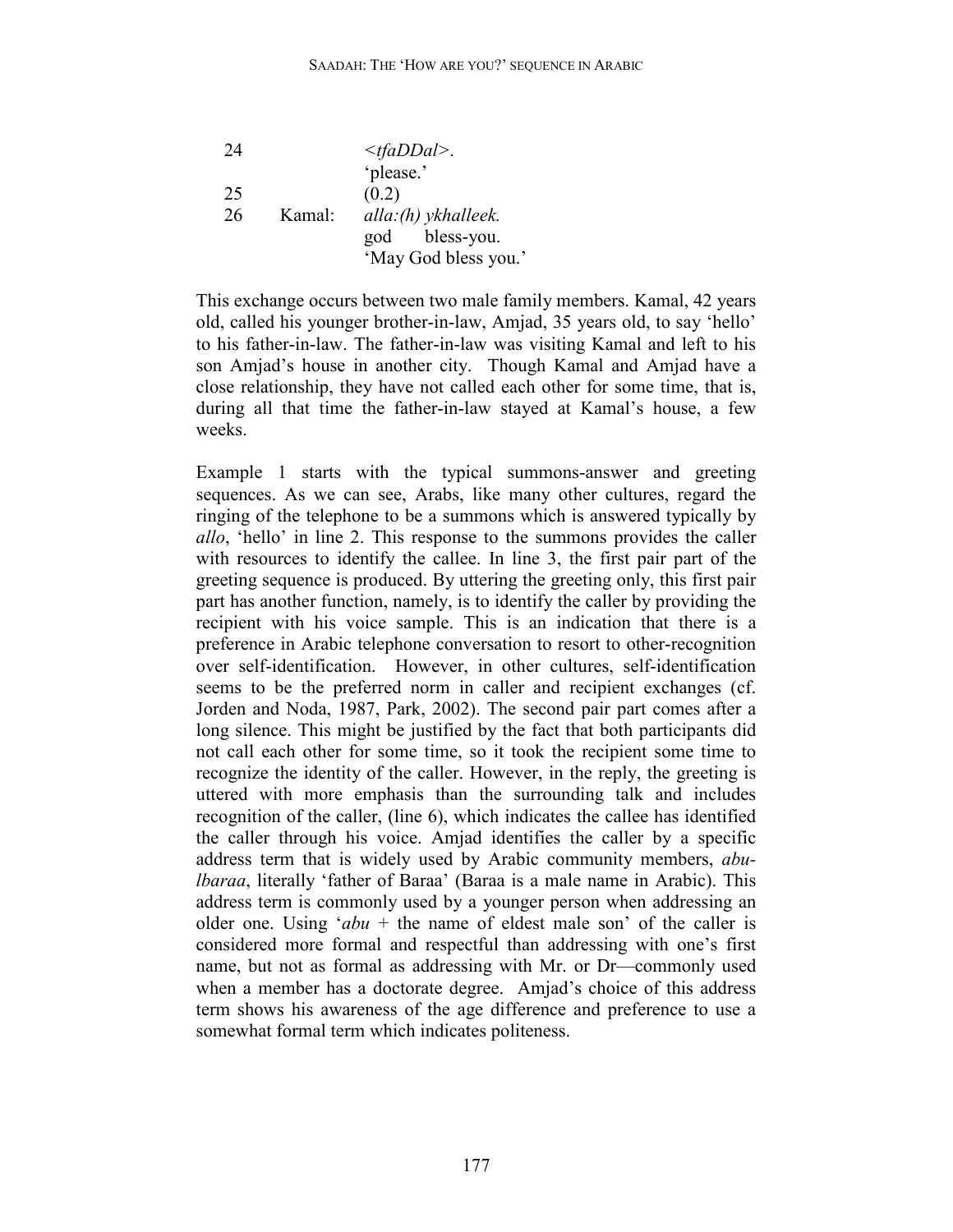| 24 |        | $\langle tfaDDal \rangle$ . |
|----|--------|-----------------------------|
|    |        | 'please.'                   |
| 25 |        | (0.2)                       |
| 26 | Kamal: | alla: (h) ykhalleek.        |
|    |        | bless-you.<br>god           |
|    |        | 'May God bless you.'        |

This exchange occurs between two male family members. Kamal, 42 years old, called his younger brother-in-law, Amjad, 35 years old, to say 'hello' to his father-in-law. The father-in-law was visiting Kamal and left to his son Amjad's house in another city. Though Kamal and Amjad have a close relationship, they have not called each other for some time, that is, during all that time the father-in-law stayed at Kamal's house, a few weeks.

Example 1 starts with the typical summons-answer and greeting sequences. As we can see, Arabs, like many other cultures, regard the ringing of the telephone to be a summons which is answered typically by *allo*, 'hello' in line 2. This response to the summons provides the caller with resources to identify the callee. In line 3, the first pair part of the greeting sequence is produced. By uttering the greeting only, this first pair part has another function, namely, is to identify the caller by providing the recipient with his voice sample. This is an indication that there is a preference in Arabic telephone conversation to resort to other-recognition over self-identification. However, in other cultures, self-identification seems to be the preferred norm in caller and recipient exchanges (cf. Jorden and Noda, 1987, Park, 2002). The second pair part comes after a long silence. This might be justified by the fact that both participants did not call each other for some time, so it took the recipient some time to recognize the identity of the caller. However, in the reply, the greeting is uttered with more emphasis than the surrounding talk and includes recognition of the caller, (line 6), which indicates the callee has identified the caller through his voice. Amjad identifies the caller by a specific address term that is widely used by Arabic community members, *abulbaraa*, literally 'father of Baraa' (Baraa is a male name in Arabic). This address term is commonly used by a younger person when addressing an older one. Using '*abu* + the name of eldest male son' of the caller is considered more formal and respectful than addressing with one's first name, but not as formal as addressing with Mr. or Dr—commonly used when a member has a doctorate degree. Amjad's choice of this address term shows his awareness of the age difference and preference to use a somewhat formal term which indicates politeness.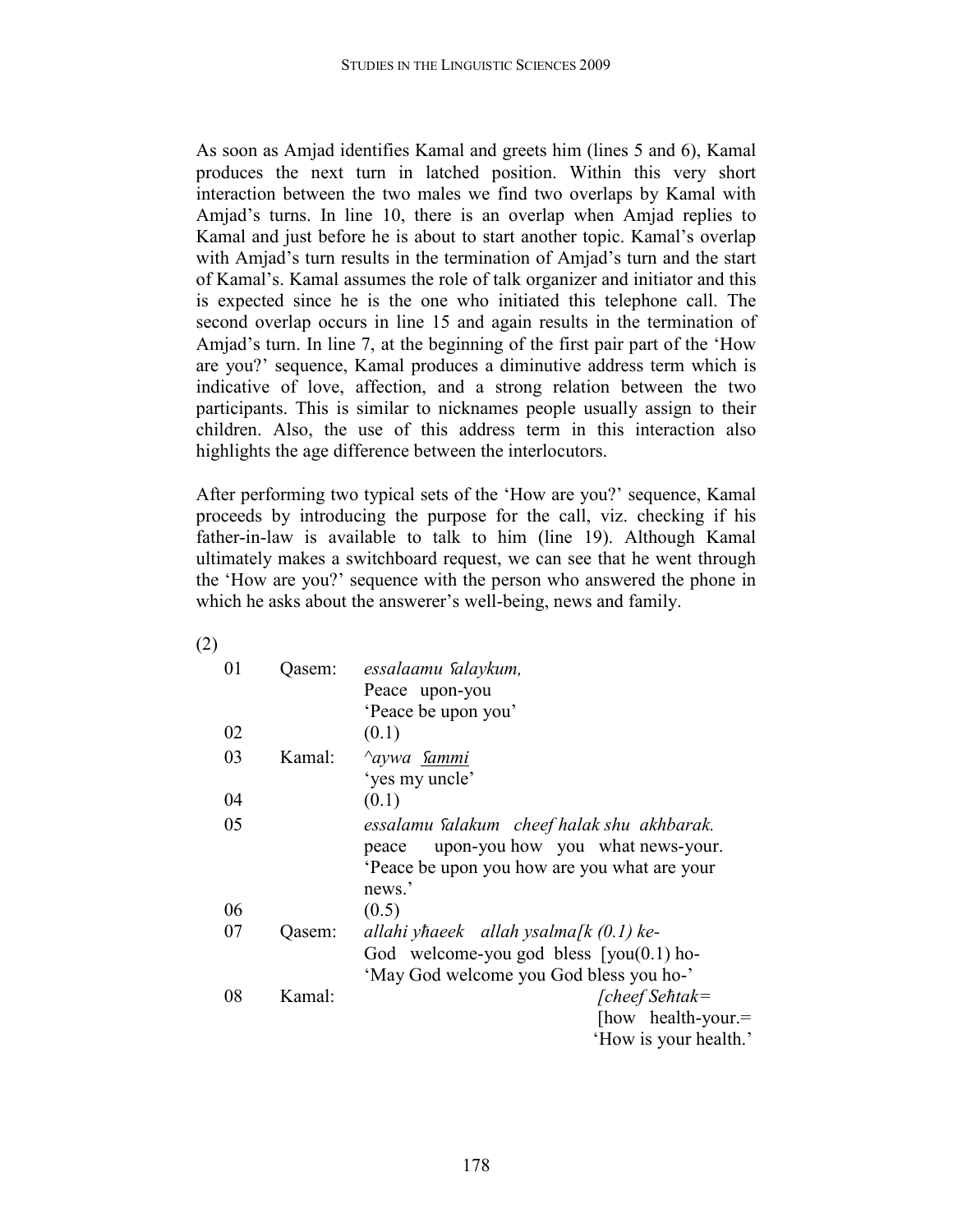As soon as Amjad identifies Kamal and greets him (lines 5 and 6), Kamal produces the next turn in latched position. Within this very short interaction between the two males we find two overlaps by Kamal with Amjad's turns. In line 10, there is an overlap when Amjad replies to Kamal and just before he is about to start another topic. Kamal's overlap with Amjad's turn results in the termination of Amjad's turn and the start of Kamal's. Kamal assumes the role of talk organizer and initiator and this is expected since he is the one who initiated this telephone call. The second overlap occurs in line 15 and again results in the termination of Amjad's turn. In line 7, at the beginning of the first pair part of the 'How are you?' sequence, Kamal produces a diminutive address term which is indicative of love, affection, and a strong relation between the two participants. This is similar to nicknames people usually assign to their children. Also, the use of this address term in this interaction also highlights the age difference between the interlocutors.

After performing two typical sets of the 'How are you?' sequence, Kamal proceeds by introducing the purpose for the call, viz. checking if his father-in-law is available to talk to him (line 19). Although Kamal ultimately makes a switchboard request, we can see that he went through the 'How are you?' sequence with the person who answered the phone in which he asks about the answerer's well-being, news and family.

(2)

| 01 | Qasem: | essalaamu Salaykum,                          |
|----|--------|----------------------------------------------|
|    |        | Peace upon-you                               |
|    |        | 'Peace be upon you'                          |
| 02 |        | (0.1)                                        |
| 03 | Kamal: | <i><u><b>Aywa</b></u></i> Sammi              |
|    |        | 'yes my uncle'                               |
| 04 |        | (0.1)                                        |
| 05 |        | essalamu Salakum cheef halak shu akhbarak.   |
|    |        | upon-you how you what news-your.<br>peace    |
|    |        | Peace be upon you how are you what are your  |
|    |        | news.'                                       |
| 06 |        | (0.5)                                        |
| 07 | Qasem: | allahi yhaeek allah ysalma $\int k(0,1)$ ke- |
|    |        | God welcome-you god bless $[you(0.1)$ ho-    |
|    |        | 'May God welcome you God bless you ho-'      |
| 08 | Kamal: | $[cheef Se \hbar t \alpha k =$               |
|    |        | [how health-your.=                           |
|    |        | 'How is your health.'                        |
|    |        |                                              |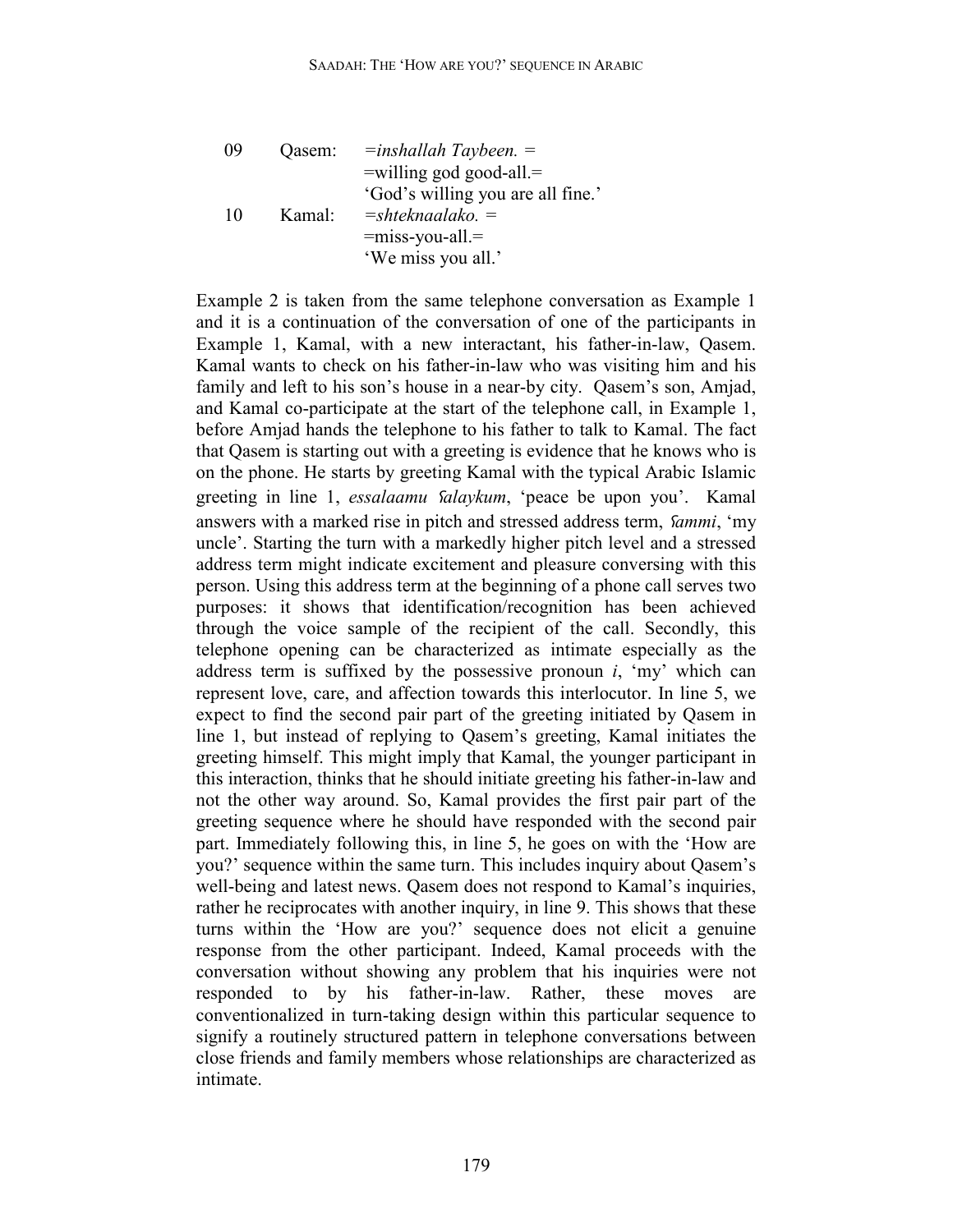| 09 | Qasem: | $=$ $=$ $=$ $=$ $=$ $=$ $=$ $=$ $=$ $=$ $=$ $=$ $=$ $3$ $=$ $3$ $=$ $=$ $=$ $=$ $=$ $=$ $=$ $=$ $=$ $=$ $=$ $=$ $=$ $=$ $=$ $=$ $=$ $=$ $=$ $=$ $=$ $=$ $=$ $=$ $=$ $=$ $=$ $=$ $=$ $=$ $=$ $=$ $=$ $=$ $=$ $=$ $=$ $=$ $=$ $=$ $=$ $=$ $=$ $=$ $=$ $=$ $=$ $=$ $=$ $=$ $=$ $=$ $=$ $=$ $=$ $=$ $=$ $=$ $=$ $=$ $=$ $=$ $=$ $=$ $=$ $=$ $=$ $=$ $=$ $=$ $=$ $=$ $=$ $=$ $=$ $=$ $=$ $=$ $=$ $=$ $=$ $=$ $=$ $=$ $=$ $=$ $=$ $=$ $=$ $=$ |
|----|--------|-----------------------------------------------------------------------------------------------------------------------------------------------------------------------------------------------------------------------------------------------------------------------------------------------------------------------------------------------------------------------------------------------------------------------------------------|
|----|--------|-----------------------------------------------------------------------------------------------------------------------------------------------------------------------------------------------------------------------------------------------------------------------------------------------------------------------------------------------------------------------------------------------------------------------------------------|

Example 2 is taken from the same telephone conversation as Example 1 and it is a continuation of the conversation of one of the participants in Example 1, Kamal, with a new interactant, his father-in-law, Qasem. Kamal wants to check on his father-in-law who was visiting him and his family and left to his son's house in a near-by city. Qasem's son, Amjad, and Kamal co-participate at the start of the telephone call, in Example 1, before Amjad hands the telephone to his father to talk to Kamal. The fact that Qasem is starting out with a greeting is evidence that he knows who is on the phone. He starts by greeting Kamal with the typical Arabic Islamic greeting in line 1, *essalaamu Salaykum*, 'peace be upon you'. Kamal answers with a marked rise in pitch and stressed address term, *Sammi*, 'my uncle'. Starting the turn with a markedly higher pitch level and a stressed address term might indicate excitement and pleasure conversing with this person. Using this address term at the beginning of a phone call serves two purposes: it shows that identification/recognition has been achieved through the voice sample of the recipient of the call. Secondly, this telephone opening can be characterized as intimate especially as the address term is suffixed by the possessive pronoun *i*, 'my' which can represent love, care, and affection towards this interlocutor. In line 5, we expect to find the second pair part of the greeting initiated by Qasem in line 1, but instead of replying to Qasem's greeting, Kamal initiates the greeting himself. This might imply that Kamal, the younger participant in this interaction, thinks that he should initiate greeting his father-in-law and not the other way around. So, Kamal provides the first pair part of the greeting sequence where he should have responded with the second pair part. Immediately following this, in line 5, he goes on with the 'How are you?' sequence within the same turn. This includes inquiry about Qasem's well-being and latest news. Qasem does not respond to Kamal's inquiries, rather he reciprocates with another inquiry, in line 9. This shows that these turns within the 'How are you?' sequence does not elicit a genuine response from the other participant. Indeed, Kamal proceeds with the conversation without showing any problem that his inquiries were not responded to by his father-in-law. Rather, these moves are conventionalized in turn-taking design within this particular sequence to signify a routinely structured pattern in telephone conversations between close friends and family members whose relationships are characterized as intimate.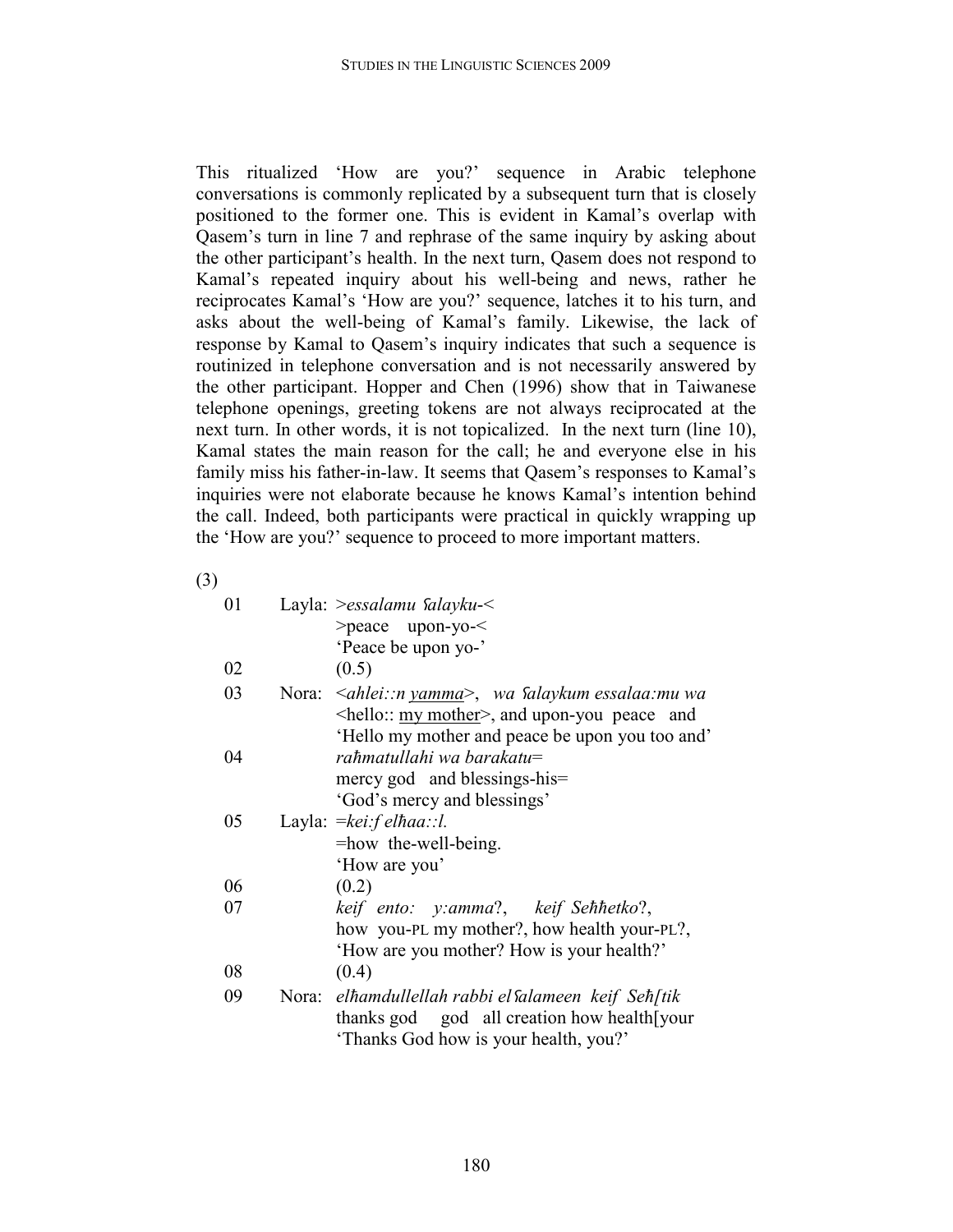This ritualized 'How are you?' sequence in Arabic telephone conversations is commonly replicated by a subsequent turn that is closely positioned to the former one. This is evident in Kamal's overlap with Qasem's turn in line 7 and rephrase of the same inquiry by asking about the other participant's health. In the next turn, Qasem does not respond to Kamal's repeated inquiry about his well-being and news, rather he reciprocates Kamal's 'How are you?' sequence, latches it to his turn, and asks about the well-being of Kamal's family. Likewise, the lack of response by Kamal to Qasem's inquiry indicates that such a sequence is routinized in telephone conversation and is not necessarily answered by the other participant. Hopper and Chen (1996) show that in Taiwanese telephone openings, greeting tokens are not always reciprocated at the next turn. In other words, it is not topicalized. In the next turn (line 10), Kamal states the main reason for the call; he and everyone else in his family miss his father-in-law. It seems that Qasem's responses to Kamal's inquiries were not elaborate because he knows Kamal's intention behind the call. Indeed, both participants were practical in quickly wrapping up the 'How are you?' sequence to proceed to more important matters.

(3)

| 01 | Layla: $>$ essalamu <i>falayku</i> - $<$                            |
|----|---------------------------------------------------------------------|
|    | $>$ peace upon-yo- $\le$                                            |
|    | 'Peace be upon yo-'                                                 |
| 02 | (0.5)                                                               |
| 03 | Nora: <i>≤ahlei::n yamma&gt;</i> , wa <i>falaykum essalaa:mu wa</i> |
|    | $\le$ hello:: <u>my mother</u> $>$ , and upon-you peace and         |
|    | 'Hello my mother and peace be upon you too and'                     |
| 04 | rahmatullahi wa barakatu=                                           |
|    | mercy god and blessings-his=                                        |
|    | 'God's mercy and blessings'                                         |
| 05 | Layla: $=$ kei:f elhaa::l.                                          |
|    | =how the-well-being.                                                |
|    | 'How are you'                                                       |
| 06 | (0.2)                                                               |
| 07 | keif ento: y:amma?, keif Sehhetko?,                                 |
|    | how you-PL my mother?, how health your-PL?,                         |
|    | 'How are you mother? How is your health?'                           |
| 08 | (0.4)                                                               |
| 09 | Nora: elhamdullellah rabbi el Salameen keif Seh[tik                 |
|    | thanks god god all creation how health [your                        |
|    | 'Thanks God how is your health, you?'                               |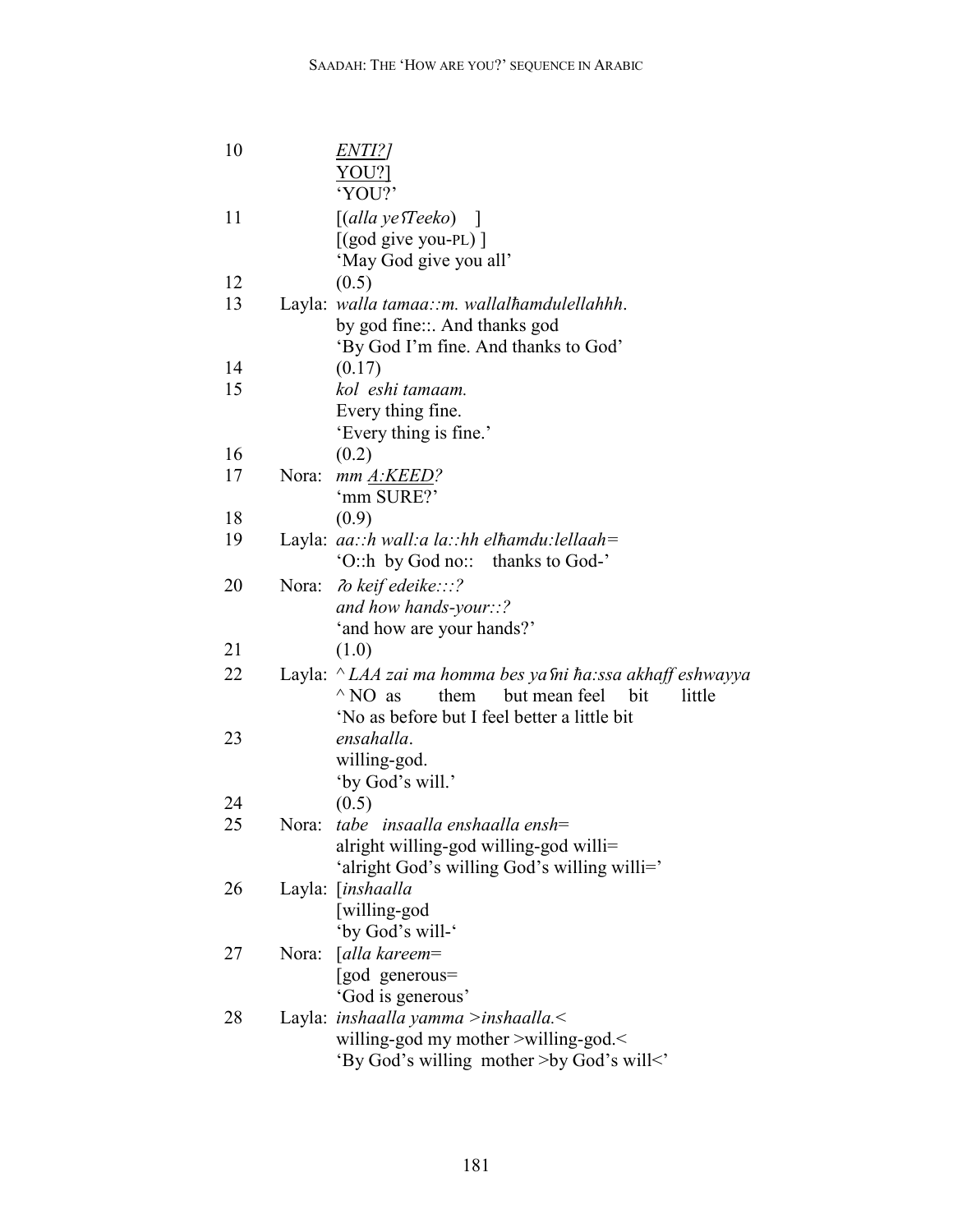| 10 |       | <i>ENTI?]</i><br>YOU?                                       |
|----|-------|-------------------------------------------------------------|
| 11 |       | 'YOU?'<br>$\lceil$ (alla ye <i>Teeko</i> )<br>$\mathbf{I}$  |
|    |       |                                                             |
|    |       | $[(\text{god give you-PL})]$                                |
|    |       | 'May God give you all'                                      |
| 12 |       | (0.5)                                                       |
| 13 |       | Layla: walla tamaa::m. wallalhamdulellahhh.                 |
|    |       | by god fine::. And thanks god                               |
|    |       | 'By God I'm fine. And thanks to God'                        |
| 14 |       | (0.17)                                                      |
| 15 |       | kol eshi tamaam.                                            |
|    |       | Every thing fine.                                           |
|    |       | 'Every thing is fine.'                                      |
| 16 |       | (0.2)                                                       |
| 17 | Nora: | mm A:KEED?                                                  |
|    |       | 'mm SURE?'                                                  |
| 18 |       | (0.9)                                                       |
| 19 |       | Layla: $aa::h$ wall:a la::hh elhamdu:lellaah=               |
|    |       | 'O::h by God no::<br>thanks to God-'                        |
| 20 | Nora: | $\lambda$ keif edeike:::?                                   |
|    |       | and how hands-your::?                                       |
|    |       | 'and how are your hands?'                                   |
| 21 |       | (1.0)                                                       |
| 22 |       | Layla: ^ LAA zai ma homma bes ya sni ha:ssa akhaff eshwayya |
|    |       | but mean feel<br>$^{\wedge}$ NO as<br>them<br>bit<br>little |
|    |       | 'No as before but I feel better a little bit                |
| 23 |       | ensahalla.                                                  |
|    |       | willing-god.                                                |
|    |       | 'by God's will.'                                            |
| 24 |       | (0.5)                                                       |
| 25 | Nora: | tabe insaalla enshaalla ensh=                               |
|    |       | alright willing-god willing-god willi=                      |
|    |       | 'alright God's willing God's willing willi='                |
| 26 |       | Layla: [inshaalla                                           |
|    |       | [willing-god                                                |
|    |       | 'by God's will-'                                            |
| 27 | Nora: | [alla kareem=                                               |
|    |       | [god generous=                                              |
|    |       | 'God is generous'                                           |
| 28 |       | Layla: inshaalla yamma >inshaalla.<                         |
|    |       | willing-god my mother >willing-god.<                        |
|    |       | 'By God's willing mother >by God's will<'                   |
|    |       |                                                             |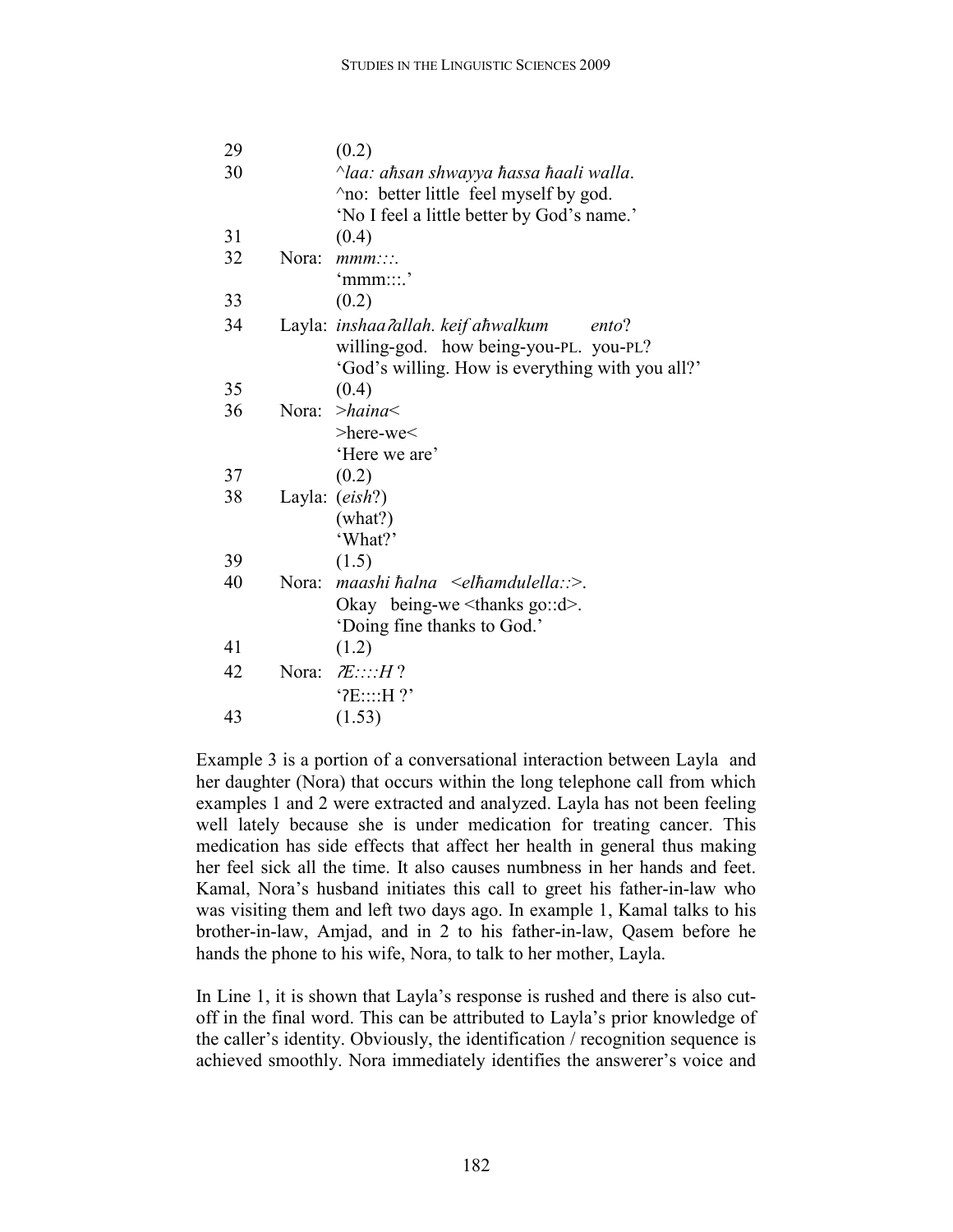| 29 |       | (0.2)                                            |
|----|-------|--------------------------------------------------|
| 30 |       | $\land$ laa: ahsan shwayya hassa haali walla.    |
|    |       | no: better little feel myself by god.            |
|    |       | 'No I feel a little better by God's name.'       |
| 31 |       | (0.4)                                            |
| 32 | Nora: | mmm::                                            |
|    |       | $'$ mmm::::'                                     |
| 33 |       | (0.2)                                            |
| 34 |       | Layla: inshaa ?allah. keif ahwalkum<br>ento?     |
|    |       | willing-god. how being-you-PL. you-PL?           |
|    |       | 'God's willing. How is everything with you all?' |
| 35 |       | (0.4)                                            |
| 36 | Nora: | $>$ haina $<$                                    |
|    |       | >here-we<                                        |
|    |       | 'Here we are'                                    |
| 37 |       | (0.2)                                            |
| 38 |       | Layla: (eish?)                                   |
|    |       | (what?)                                          |
|    |       | 'What?'                                          |
| 39 |       | (1.5)                                            |
| 40 | Nora: | maashi halna $\leq$ elhamdulella:: $\geq$ .      |
|    |       | Okay being-we $\leq$ thanks go:: $d$ >.          |
|    |       | 'Doing fine thanks to God.'                      |
| 41 |       | (1.2)                                            |
| 42 | Nora: | E:::H?                                           |
|    |       | $'$ ? $E$ :::: $H$ ?'                            |
| 43 |       | (1.53)                                           |

Example 3 is a portion of a conversational interaction between Layla and her daughter (Nora) that occurs within the long telephone call from which examples 1 and 2 were extracted and analyzed. Layla has not been feeling well lately because she is under medication for treating cancer. This medication has side effects that affect her health in general thus making her feel sick all the time. It also causes numbness in her hands and feet. Kamal, Nora's husband initiates this call to greet his father-in-law who was visiting them and left two days ago. In example 1, Kamal talks to his brother-in-law, Amjad, and in 2 to his father-in-law, Qasem before he hands the phone to his wife, Nora, to talk to her mother, Layla.

In Line 1, it is shown that Layla's response is rushed and there is also cutoff in the final word. This can be attributed to Layla's prior knowledge of the caller's identity. Obviously, the identification / recognition sequence is achieved smoothly. Nora immediately identifies the answerer's voice and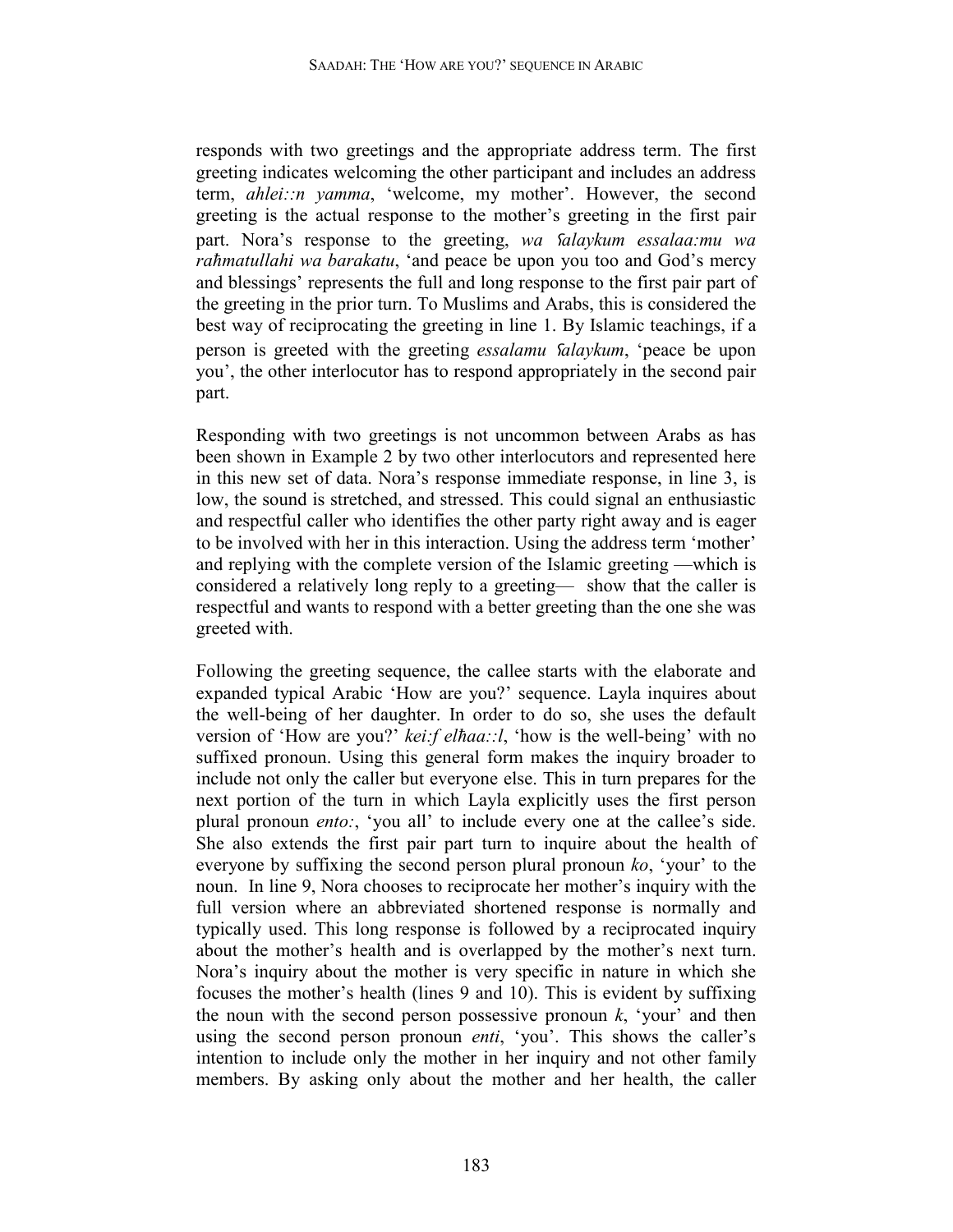responds with two greetings and the appropriate address term. The first greeting indicates welcoming the other participant and includes an address term, *ahlei::n yamma*, 'welcome, my mother'. However, the second greeting is the actual response to the mother's greeting in the first pair part. Nora's response to the greeting, *wa Salaykum essalaa:mu wa raħmatullahi wa barakatu*, 'and peace be upon you too and God's mercy and blessings' represents the full and long response to the first pair part of the greeting in the prior turn. To Muslims and Arabs, this is considered the best way of reciprocating the greeting in line 1. By Islamic teachings, if a person is greeted with the greeting *essalamu* ȥ*alaykum*, 'peace be upon you', the other interlocutor has to respond appropriately in the second pair part.

Responding with two greetings is not uncommon between Arabs as has been shown in Example 2 by two other interlocutors and represented here in this new set of data. Nora's response immediate response, in line 3, is low, the sound is stretched, and stressed. This could signal an enthusiastic and respectful caller who identifies the other party right away and is eager to be involved with her in this interaction. Using the address term 'mother' and replying with the complete version of the Islamic greeting —which is considered a relatively long reply to a greeting— show that the caller is respectful and wants to respond with a better greeting than the one she was greeted with.

Following the greeting sequence, the callee starts with the elaborate and expanded typical Arabic 'How are you?' sequence. Layla inquires about the well-being of her daughter. In order to do so, she uses the default version of 'How are you?' *kei:f elħaa::l*, 'how is the well-being' with no suffixed pronoun. Using this general form makes the inquiry broader to include not only the caller but everyone else. This in turn prepares for the next portion of the turn in which Layla explicitly uses the first person plural pronoun *ento:*, 'you all' to include every one at the callee's side. She also extends the first pair part turn to inquire about the health of everyone by suffixing the second person plural pronoun *ko*, 'your' to the noun. In line 9, Nora chooses to reciprocate her mother's inquiry with the full version where an abbreviated shortened response is normally and typically used. This long response is followed by a reciprocated inquiry about the mother's health and is overlapped by the mother's next turn. Nora's inquiry about the mother is very specific in nature in which she focuses the mother's health (lines 9 and 10). This is evident by suffixing the noun with the second person possessive pronoun  $k$ , 'your' and then using the second person pronoun *enti*, 'you'. This shows the caller's intention to include only the mother in her inquiry and not other family members. By asking only about the mother and her health, the caller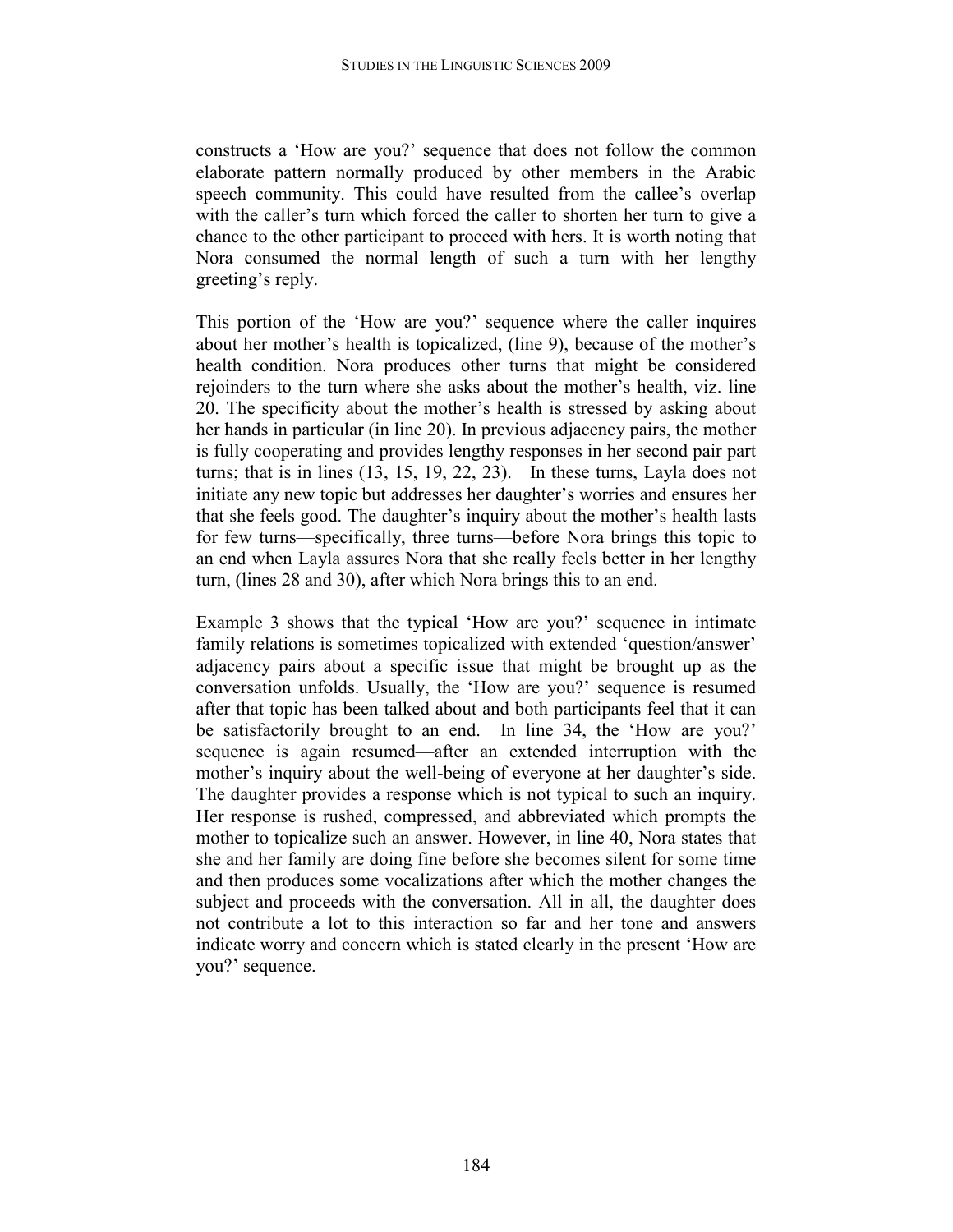constructs a 'How are you?' sequence that does not follow the common elaborate pattern normally produced by other members in the Arabic speech community. This could have resulted from the callee's overlap with the caller's turn which forced the caller to shorten her turn to give a chance to the other participant to proceed with hers. It is worth noting that Nora consumed the normal length of such a turn with her lengthy greeting's reply.

This portion of the 'How are you?' sequence where the caller inquires about her mother's health is topicalized, (line 9), because of the mother's health condition. Nora produces other turns that might be considered rejoinders to the turn where she asks about the mother's health, viz. line 20. The specificity about the mother's health is stressed by asking about her hands in particular (in line 20). In previous adjacency pairs, the mother is fully cooperating and provides lengthy responses in her second pair part turns; that is in lines  $(13, 15, 19, 22, 23)$ . In these turns, Layla does not initiate any new topic but addresses her daughter's worries and ensures her that she feels good. The daughter's inquiry about the mother's health lasts for few turns—specifically, three turns—before Nora brings this topic to an end when Layla assures Nora that she really feels better in her lengthy turn, (lines 28 and 30), after which Nora brings this to an end.

Example 3 shows that the typical 'How are you?' sequence in intimate family relations is sometimes topicalized with extended 'question/answer' adjacency pairs about a specific issue that might be brought up as the conversation unfolds. Usually, the 'How are you?' sequence is resumed after that topic has been talked about and both participants feel that it can be satisfactorily brought to an end. In line 34, the 'How are you?' sequence is again resumed—after an extended interruption with the mother's inquiry about the well-being of everyone at her daughter's side. The daughter provides a response which is not typical to such an inquiry. Her response is rushed, compressed, and abbreviated which prompts the mother to topicalize such an answer. However, in line 40, Nora states that she and her family are doing fine before she becomes silent for some time and then produces some vocalizations after which the mother changes the subject and proceeds with the conversation. All in all, the daughter does not contribute a lot to this interaction so far and her tone and answers indicate worry and concern which is stated clearly in the present 'How are you?' sequence.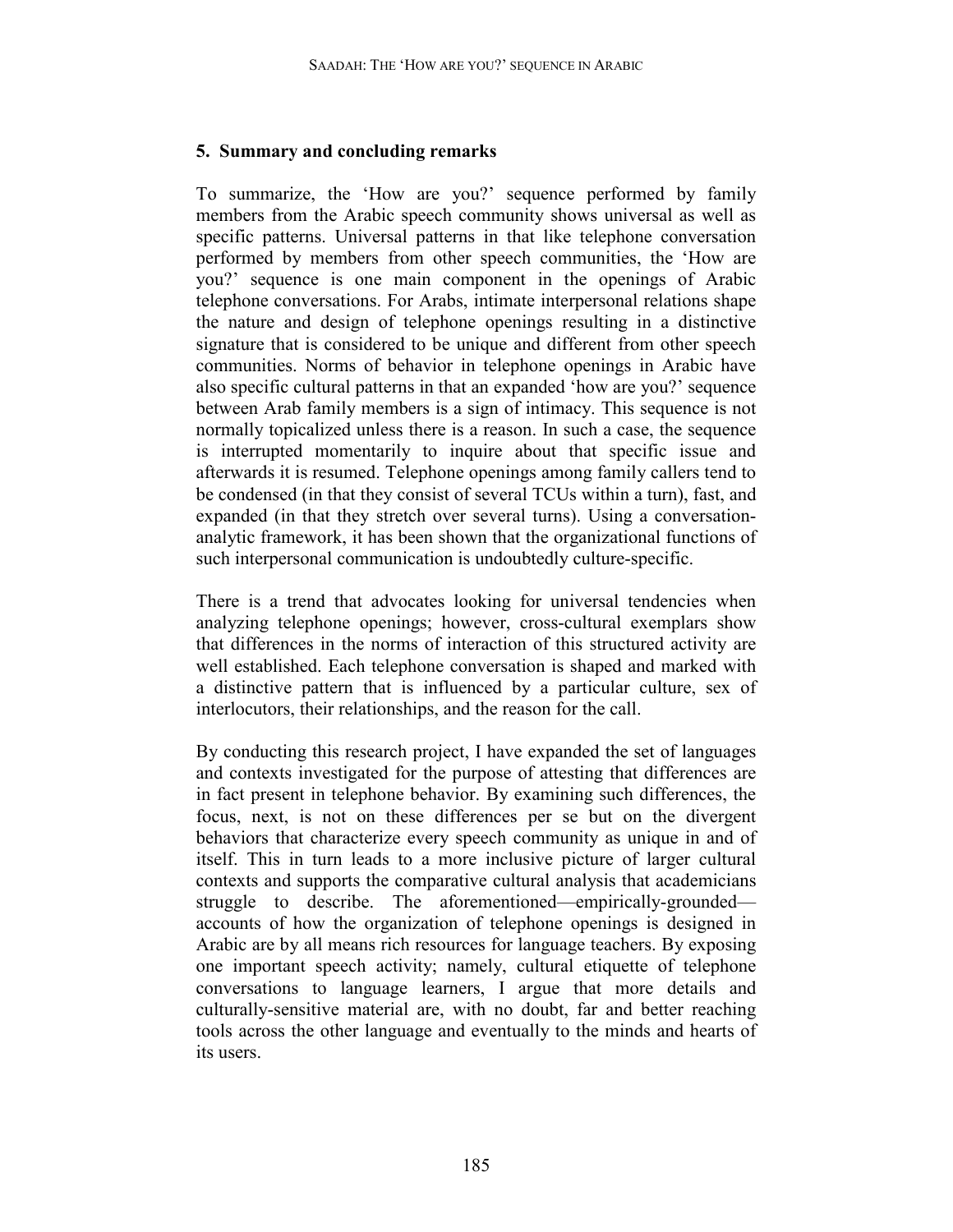## **5. Summary and concluding remarks**

To summarize, the 'How are you?' sequence performed by family members from the Arabic speech community shows universal as well as specific patterns. Universal patterns in that like telephone conversation performed by members from other speech communities, the 'How are you?' sequence is one main component in the openings of Arabic telephone conversations. For Arabs, intimate interpersonal relations shape the nature and design of telephone openings resulting in a distinctive signature that is considered to be unique and different from other speech communities. Norms of behavior in telephone openings in Arabic have also specific cultural patterns in that an expanded 'how are you?' sequence between Arab family members is a sign of intimacy. This sequence is not normally topicalized unless there is a reason. In such a case, the sequence is interrupted momentarily to inquire about that specific issue and afterwards it is resumed. Telephone openings among family callers tend to be condensed (in that they consist of several TCUs within a turn), fast, and expanded (in that they stretch over several turns). Using a conversationanalytic framework, it has been shown that the organizational functions of such interpersonal communication is undoubtedly culture-specific.

There is a trend that advocates looking for universal tendencies when analyzing telephone openings; however, cross-cultural exemplars show that differences in the norms of interaction of this structured activity are well established. Each telephone conversation is shaped and marked with a distinctive pattern that is influenced by a particular culture, sex of interlocutors, their relationships, and the reason for the call.

By conducting this research project, I have expanded the set of languages and contexts investigated for the purpose of attesting that differences are in fact present in telephone behavior. By examining such differences, the focus, next, is not on these differences per se but on the divergent behaviors that characterize every speech community as unique in and of itself. This in turn leads to a more inclusive picture of larger cultural contexts and supports the comparative cultural analysis that academicians struggle to describe. The aforementioned—empirically-grounded accounts of how the organization of telephone openings is designed in Arabic are by all means rich resources for language teachers. By exposing one important speech activity; namely, cultural etiquette of telephone conversations to language learners, I argue that more details and culturally-sensitive material are, with no doubt, far and better reaching tools across the other language and eventually to the minds and hearts of its users.